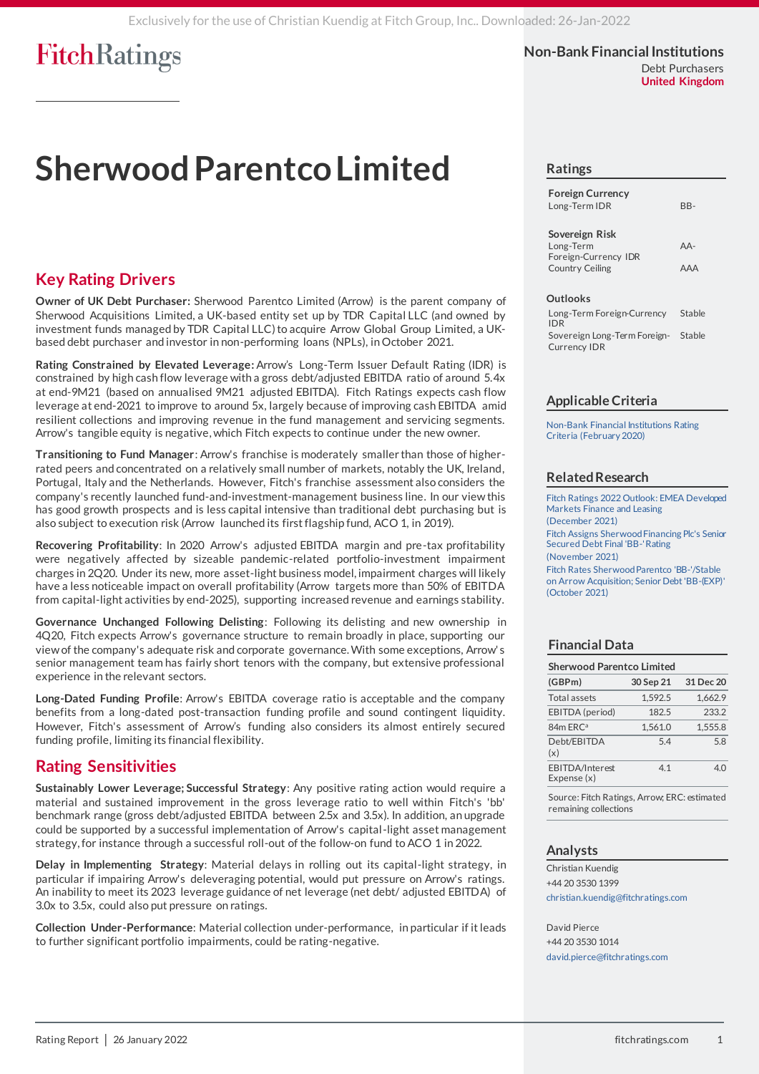**Non-Bank Financial Institutions** Debt Purchasers **United Kingdom**

# **Sherwood Parentco Limited**

### **Key Rating Drivers**

**Owner of UK Debt Purchaser:** Sherwood Parentco Limited (Arrow) is the parent company of Sherwood Acquisitions Limited, a UK-based entity set up by TDR Capital LLC (and owned by investment funds managed by TDR Capital LLC) to acquire Arrow Global Group Limited, a UKbased debt purchaser and investor in non-performing loans (NPLs), in October 2021.

**Rating Constrained by Elevated Leverage:** Arrow's Long-Term Issuer Default Rating (IDR) is constrained by high cash flow leverage with a gross debt/adjusted EBITDA ratio of around 5.4x at end-9M21 (based on annualised 9M21 adjusted EBITDA). Fitch Ratings expects cash flow leverage at end-2021 to improve to around 5x, largely because of improving cash EBITDA amid resilient collections and improving revenue in the fund management and servicing segments. Arrow's tangible equity is negative,which Fitch expects to continue under the new owner.

**Transitioning to Fund Manager**: Arrow's franchise is moderately smaller than those of higherrated peers and concentrated on a relatively small number of markets, notably the UK, Ireland, Portugal, Italy and the Netherlands. However, Fitch's franchise assessment also considers the company's recently launched fund-and-investment-management business line. In our view this has good growth prospects and is less capital intensive than traditional debt purchasing but is also subject to execution risk (Arrow launched its first flagship fund, ACO 1, in 2019).

**Recovering Profitability**: In 2020 Arrow's adjusted EBITDA margin and pre-tax profitability were negatively affected by sizeable pandemic-related portfolio-investment impairment charges in 2Q20. Under its new, more asset-light business model, impairment charges will likely have a less noticeable impact on overall profitability (Arrow targets more than 50% of EBITDA from capital-light activities by end-2025), supporting increased revenue and earnings stability.

**Governance Unchanged Following Delisting**: Following its delisting and new ownership in 4Q20, Fitch expects Arrow's governance structure to remain broadly in place, supporting our view of the company's adequate risk and corporate governance. With some exceptions, Arrow' s senior management team has fairly short tenors with the company, but extensive professional experience in the relevant sectors.

**Long-Dated Funding Profile**: Arrow's EBITDA coverage ratio is acceptable and the company benefits from a long-dated post-transaction funding profile and sound contingent liquidity. However, Fitch's assessment of Arrow's funding also considers its almost entirely secured funding profile, limiting its financial flexibility.

### **Rating Sensitivities**

**Sustainably Lower Leverage; Successful Strategy**: Any positive rating action would require a material and sustained improvement in the gross leverage ratio to well within Fitch's 'bb' benchmark range (gross debt/adjusted EBITDA between 2.5x and 3.5x). In addition, an upgrade could be supported by a successful implementation of Arrow's capital-light asset management strategy, for instance through a successful roll-out of the follow-on fund to ACO 1 in 2022.

**Delay in Implementing Strategy**: Material delays in rolling out its capital-light strategy, in particular if impairing Arrow's deleveraging potential, would put pressure on Arrow's ratings. An inability to meet its 2023 leverage guidance of net leverage (net debt/ adjusted EBITDA) of 3.0x to 3.5x, could also put pressure on ratings.

**Collection Under-Performance**: Material collection under-performance, in particular if it leads to further significant portfolio impairments, could be rating-negative.

#### **Ratings**

| <b>Foreign Currency</b> |     |
|-------------------------|-----|
| Long-Term IDR           | BB- |

#### **Sovereign Risk**

| AA- |
|-----|
|     |
| AAA |
|     |

#### **Outlooks**

Long-Term Foreign-Currency IDR **Stable** Sovereign Long-Term Foreign-Currency IDR Stable

#### **Applicable Criteria**

[Non-Bank Financial Institutions Rating](https://app.fitchconnect.com/search/research/article/FR_RPT_10110170?jwt=eyJhbGciOiJIUzUxMiJ9.eyJzdWIiOiJ3YXRlcm1hcmsiLCJ1c2VySUQiOiIxcmdVanRjZG9Tbml3cXVmZlhPeVh4IiwiZG9jSUQiOiJGUl9SUFRfMTAxOTAzOTAiLCJVVUlEIjoiMjFhMmZiNDktN2IzZS00ODUzLTk0N2ItNjhiYjlmYmEzNGI0IiwiY2xpZW50SUQiOiIyVWdmalN2RW4xMFA5TDVZMVFkWFFoIiwidGltZXN0YW1wIjp7Im5hbm8iOjYxNzEzNTAwMCwieWVhciI6MjAyMiwibW9udGhWYWx1ZSI6MSwiZGF5T2ZNb250aCI6MjYsImhvdXIiOjIyLCJtaW51dGUiOjU5LCJzZWNvbmQiOjM3LCJkYXlPZldlZWsiOiJXRURORVNEQVkiLCJkYXlPZlllYXIiOjI2LCJtb250aCI6IkpBTlVBUlkiLCJjaHJvbm9sb2d5Ijp7ImlkIjoiSVNPIiwiY2FsZW5kYXJUeXBlIjoiaXNvODYwMSJ9fX0.cHtP5HkrdW_mbBoo-s7NxaeNcudlsqXpiXtDMMLSqYRtXSPVK_tAXgGT94T6m_LlgcMCQKbpMHxtJvHffs50_g)  [Criteria \(February 2020\)](https://app.fitchconnect.com/search/research/article/FR_RPT_10110170?jwt=eyJhbGciOiJIUzUxMiJ9.eyJzdWIiOiJ3YXRlcm1hcmsiLCJ1c2VySUQiOiIxcmdVanRjZG9Tbml3cXVmZlhPeVh4IiwiZG9jSUQiOiJGUl9SUFRfMTAxOTAzOTAiLCJVVUlEIjoiMjFhMmZiNDktN2IzZS00ODUzLTk0N2ItNjhiYjlmYmEzNGI0IiwiY2xpZW50SUQiOiIyVWdmalN2RW4xMFA5TDVZMVFkWFFoIiwidGltZXN0YW1wIjp7Im5hbm8iOjYxNzEzNTAwMCwieWVhciI6MjAyMiwibW9udGhWYWx1ZSI6MSwiZGF5T2ZNb250aCI6MjYsImhvdXIiOjIyLCJtaW51dGUiOjU5LCJzZWNvbmQiOjM3LCJkYXlPZldlZWsiOiJXRURORVNEQVkiLCJkYXlPZlllYXIiOjI2LCJtb250aCI6IkpBTlVBUlkiLCJjaHJvbm9sb2d5Ijp7ImlkIjoiSVNPIiwiY2FsZW5kYXJUeXBlIjoiaXNvODYwMSJ9fX0.cHtP5HkrdW_mbBoo-s7NxaeNcudlsqXpiXtDMMLSqYRtXSPVK_tAXgGT94T6m_LlgcMCQKbpMHxtJvHffs50_g)

#### **Related Research**

[Fitch Ratings 2022 Outlook: EMEA Developed](https://app.fitchconnect.com/search/research/article/RPT_10186080?jwt=eyJhbGciOiJIUzUxMiJ9.eyJzdWIiOiJ3YXRlcm1hcmsiLCJ1c2VySUQiOiIxcmdVanRjZG9Tbml3cXVmZlhPeVh4IiwiZG9jSUQiOiJGUl9SUFRfMTAxOTAzOTAiLCJVVUlEIjoiMjFhMmZiNDktN2IzZS00ODUzLTk0N2ItNjhiYjlmYmEzNGI0IiwiY2xpZW50SUQiOiIyVWdmalN2RW4xMFA5TDVZMVFkWFFoIiwidGltZXN0YW1wIjp7Im5hbm8iOjYxNzEzNTAwMCwieWVhciI6MjAyMiwibW9udGhWYWx1ZSI6MSwiZGF5T2ZNb250aCI6MjYsImhvdXIiOjIyLCJtaW51dGUiOjU5LCJzZWNvbmQiOjM3LCJkYXlPZldlZWsiOiJXRURORVNEQVkiLCJkYXlPZlllYXIiOjI2LCJtb250aCI6IkpBTlVBUlkiLCJjaHJvbm9sb2d5Ijp7ImlkIjoiSVNPIiwiY2FsZW5kYXJUeXBlIjoiaXNvODYwMSJ9fX0.cHtP5HkrdW_mbBoo-s7NxaeNcudlsqXpiXtDMMLSqYRtXSPVK_tAXgGT94T6m_LlgcMCQKbpMHxtJvHffs50_g)  [Markets Finance and Leasing](https://app.fitchconnect.com/search/research/article/RPT_10186080?jwt=eyJhbGciOiJIUzUxMiJ9.eyJzdWIiOiJ3YXRlcm1hcmsiLCJ1c2VySUQiOiIxcmdVanRjZG9Tbml3cXVmZlhPeVh4IiwiZG9jSUQiOiJGUl9SUFRfMTAxOTAzOTAiLCJVVUlEIjoiMjFhMmZiNDktN2IzZS00ODUzLTk0N2ItNjhiYjlmYmEzNGI0IiwiY2xpZW50SUQiOiIyVWdmalN2RW4xMFA5TDVZMVFkWFFoIiwidGltZXN0YW1wIjp7Im5hbm8iOjYxNzEzNTAwMCwieWVhciI6MjAyMiwibW9udGhWYWx1ZSI6MSwiZGF5T2ZNb250aCI6MjYsImhvdXIiOjIyLCJtaW51dGUiOjU5LCJzZWNvbmQiOjM3LCJkYXlPZldlZWsiOiJXRURORVNEQVkiLCJkYXlPZlllYXIiOjI2LCJtb250aCI6IkpBTlVBUlkiLCJjaHJvbm9sb2d5Ijp7ImlkIjoiSVNPIiwiY2FsZW5kYXJUeXBlIjoiaXNvODYwMSJ9fX0.cHtP5HkrdW_mbBoo-s7NxaeNcudlsqXpiXtDMMLSqYRtXSPVK_tAXgGT94T6m_LlgcMCQKbpMHxtJvHffs50_g)  [\(December](https://app.fitchconnect.com/search/research/article/RPT_10186080?jwt=eyJhbGciOiJIUzUxMiJ9.eyJzdWIiOiJ3YXRlcm1hcmsiLCJ1c2VySUQiOiIxcmdVanRjZG9Tbml3cXVmZlhPeVh4IiwiZG9jSUQiOiJGUl9SUFRfMTAxOTAzOTAiLCJVVUlEIjoiMjFhMmZiNDktN2IzZS00ODUzLTk0N2ItNjhiYjlmYmEzNGI0IiwiY2xpZW50SUQiOiIyVWdmalN2RW4xMFA5TDVZMVFkWFFoIiwidGltZXN0YW1wIjp7Im5hbm8iOjYxNzEzNTAwMCwieWVhciI6MjAyMiwibW9udGhWYWx1ZSI6MSwiZGF5T2ZNb250aCI6MjYsImhvdXIiOjIyLCJtaW51dGUiOjU5LCJzZWNvbmQiOjM3LCJkYXlPZldlZWsiOiJXRURORVNEQVkiLCJkYXlPZlllYXIiOjI2LCJtb250aCI6IkpBTlVBUlkiLCJjaHJvbm9sb2d5Ijp7ImlkIjoiSVNPIiwiY2FsZW5kYXJUeXBlIjoiaXNvODYwMSJ9fX0.cHtP5HkrdW_mbBoo-s7NxaeNcudlsqXpiXtDMMLSqYRtXSPVK_tAXgGT94T6m_LlgcMCQKbpMHxtJvHffs50_g) 2021) [Fitch Assigns Sherwood Financing Plc's Senior](https://app.fitchconnect.com/search/research/article/PR_10184450?jwt=eyJhbGciOiJIUzUxMiJ9.eyJzdWIiOiJ3YXRlcm1hcmsiLCJ1c2VySUQiOiIxcmdVanRjZG9Tbml3cXVmZlhPeVh4IiwiZG9jSUQiOiJGUl9SUFRfMTAxOTAzOTAiLCJVVUlEIjoiMjFhMmZiNDktN2IzZS00ODUzLTk0N2ItNjhiYjlmYmEzNGI0IiwiY2xpZW50SUQiOiIyVWdmalN2RW4xMFA5TDVZMVFkWFFoIiwidGltZXN0YW1wIjp7Im5hbm8iOjYxNzEzNTAwMCwieWVhciI6MjAyMiwibW9udGhWYWx1ZSI6MSwiZGF5T2ZNb250aCI6MjYsImhvdXIiOjIyLCJtaW51dGUiOjU5LCJzZWNvbmQiOjM3LCJkYXlPZldlZWsiOiJXRURORVNEQVkiLCJkYXlPZlllYXIiOjI2LCJtb250aCI6IkpBTlVBUlkiLCJjaHJvbm9sb2d5Ijp7ImlkIjoiSVNPIiwiY2FsZW5kYXJUeXBlIjoiaXNvODYwMSJ9fX0.cHtP5HkrdW_mbBoo-s7NxaeNcudlsqXpiXtDMMLSqYRtXSPVK_tAXgGT94T6m_LlgcMCQKbpMHxtJvHffs50_g)  [Secured Debt Final 'BB-' Rating](https://app.fitchconnect.com/search/research/article/PR_10184450?jwt=eyJhbGciOiJIUzUxMiJ9.eyJzdWIiOiJ3YXRlcm1hcmsiLCJ1c2VySUQiOiIxcmdVanRjZG9Tbml3cXVmZlhPeVh4IiwiZG9jSUQiOiJGUl9SUFRfMTAxOTAzOTAiLCJVVUlEIjoiMjFhMmZiNDktN2IzZS00ODUzLTk0N2ItNjhiYjlmYmEzNGI0IiwiY2xpZW50SUQiOiIyVWdmalN2RW4xMFA5TDVZMVFkWFFoIiwidGltZXN0YW1wIjp7Im5hbm8iOjYxNzEzNTAwMCwieWVhciI6MjAyMiwibW9udGhWYWx1ZSI6MSwiZGF5T2ZNb250aCI6MjYsImhvdXIiOjIyLCJtaW51dGUiOjU5LCJzZWNvbmQiOjM3LCJkYXlPZldlZWsiOiJXRURORVNEQVkiLCJkYXlPZlllYXIiOjI2LCJtb250aCI6IkpBTlVBUlkiLCJjaHJvbm9sb2d5Ijp7ImlkIjoiSVNPIiwiY2FsZW5kYXJUeXBlIjoiaXNvODYwMSJ9fX0.cHtP5HkrdW_mbBoo-s7NxaeNcudlsqXpiXtDMMLSqYRtXSPVK_tAXgGT94T6m_LlgcMCQKbpMHxtJvHffs50_g)  [\(November 2021\)](https://app.fitchconnect.com/search/research/article/PR_10184450?jwt=eyJhbGciOiJIUzUxMiJ9.eyJzdWIiOiJ3YXRlcm1hcmsiLCJ1c2VySUQiOiIxcmdVanRjZG9Tbml3cXVmZlhPeVh4IiwiZG9jSUQiOiJGUl9SUFRfMTAxOTAzOTAiLCJVVUlEIjoiMjFhMmZiNDktN2IzZS00ODUzLTk0N2ItNjhiYjlmYmEzNGI0IiwiY2xpZW50SUQiOiIyVWdmalN2RW4xMFA5TDVZMVFkWFFoIiwidGltZXN0YW1wIjp7Im5hbm8iOjYxNzEzNTAwMCwieWVhciI6MjAyMiwibW9udGhWYWx1ZSI6MSwiZGF5T2ZNb250aCI6MjYsImhvdXIiOjIyLCJtaW51dGUiOjU5LCJzZWNvbmQiOjM3LCJkYXlPZldlZWsiOiJXRURORVNEQVkiLCJkYXlPZlllYXIiOjI2LCJtb250aCI6IkpBTlVBUlkiLCJjaHJvbm9sb2d5Ijp7ImlkIjoiSVNPIiwiY2FsZW5kYXJUeXBlIjoiaXNvODYwMSJ9fX0.cHtP5HkrdW_mbBoo-s7NxaeNcudlsqXpiXtDMMLSqYRtXSPVK_tAXgGT94T6m_LlgcMCQKbpMHxtJvHffs50_g) [Fitch Rates Sherwood Parentco 'BB-'/Stable](https://app.fitchconnect.com/search/research/article/PR_10181191?jwt=eyJhbGciOiJIUzUxMiJ9.eyJzdWIiOiJ3YXRlcm1hcmsiLCJ1c2VySUQiOiIxcmdVanRjZG9Tbml3cXVmZlhPeVh4IiwiZG9jSUQiOiJGUl9SUFRfMTAxOTAzOTAiLCJVVUlEIjoiMjFhMmZiNDktN2IzZS00ODUzLTk0N2ItNjhiYjlmYmEzNGI0IiwiY2xpZW50SUQiOiIyVWdmalN2RW4xMFA5TDVZMVFkWFFoIiwidGltZXN0YW1wIjp7Im5hbm8iOjYxNzEzNTAwMCwieWVhciI6MjAyMiwibW9udGhWYWx1ZSI6MSwiZGF5T2ZNb250aCI6MjYsImhvdXIiOjIyLCJtaW51dGUiOjU5LCJzZWNvbmQiOjM3LCJkYXlPZldlZWsiOiJXRURORVNEQVkiLCJkYXlPZlllYXIiOjI2LCJtb250aCI6IkpBTlVBUlkiLCJjaHJvbm9sb2d5Ijp7ImlkIjoiSVNPIiwiY2FsZW5kYXJUeXBlIjoiaXNvODYwMSJ9fX0.cHtP5HkrdW_mbBoo-s7NxaeNcudlsqXpiXtDMMLSqYRtXSPVK_tAXgGT94T6m_LlgcMCQKbpMHxtJvHffs50_g)  [on Arrow Acquisition; Senior Debt 'BB-\(EXP\)'](https://app.fitchconnect.com/search/research/article/PR_10181191?jwt=eyJhbGciOiJIUzUxMiJ9.eyJzdWIiOiJ3YXRlcm1hcmsiLCJ1c2VySUQiOiIxcmdVanRjZG9Tbml3cXVmZlhPeVh4IiwiZG9jSUQiOiJGUl9SUFRfMTAxOTAzOTAiLCJVVUlEIjoiMjFhMmZiNDktN2IzZS00ODUzLTk0N2ItNjhiYjlmYmEzNGI0IiwiY2xpZW50SUQiOiIyVWdmalN2RW4xMFA5TDVZMVFkWFFoIiwidGltZXN0YW1wIjp7Im5hbm8iOjYxNzEzNTAwMCwieWVhciI6MjAyMiwibW9udGhWYWx1ZSI6MSwiZGF5T2ZNb250aCI6MjYsImhvdXIiOjIyLCJtaW51dGUiOjU5LCJzZWNvbmQiOjM3LCJkYXlPZldlZWsiOiJXRURORVNEQVkiLCJkYXlPZlllYXIiOjI2LCJtb250aCI6IkpBTlVBUlkiLCJjaHJvbm9sb2d5Ijp7ImlkIjoiSVNPIiwiY2FsZW5kYXJUeXBlIjoiaXNvODYwMSJ9fX0.cHtP5HkrdW_mbBoo-s7NxaeNcudlsqXpiXtDMMLSqYRtXSPVK_tAXgGT94T6m_LlgcMCQKbpMHxtJvHffs50_g)  [\(October](https://app.fitchconnect.com/search/research/article/PR_10181191?jwt=eyJhbGciOiJIUzUxMiJ9.eyJzdWIiOiJ3YXRlcm1hcmsiLCJ1c2VySUQiOiIxcmdVanRjZG9Tbml3cXVmZlhPeVh4IiwiZG9jSUQiOiJGUl9SUFRfMTAxOTAzOTAiLCJVVUlEIjoiMjFhMmZiNDktN2IzZS00ODUzLTk0N2ItNjhiYjlmYmEzNGI0IiwiY2xpZW50SUQiOiIyVWdmalN2RW4xMFA5TDVZMVFkWFFoIiwidGltZXN0YW1wIjp7Im5hbm8iOjYxNzEzNTAwMCwieWVhciI6MjAyMiwibW9udGhWYWx1ZSI6MSwiZGF5T2ZNb250aCI6MjYsImhvdXIiOjIyLCJtaW51dGUiOjU5LCJzZWNvbmQiOjM3LCJkYXlPZldlZWsiOiJXRURORVNEQVkiLCJkYXlPZlllYXIiOjI2LCJtb250aCI6IkpBTlVBUlkiLCJjaHJvbm9sb2d5Ijp7ImlkIjoiSVNPIiwiY2FsZW5kYXJUeXBlIjoiaXNvODYwMSJ9fX0.cHtP5HkrdW_mbBoo-s7NxaeNcudlsqXpiXtDMMLSqYRtXSPVK_tAXgGT94T6m_LlgcMCQKbpMHxtJvHffs50_g) 2021)

#### **Financial Data**

| <b>Sherwood Parentco Limited</b> |           |           |  |  |  |  |  |
|----------------------------------|-----------|-----------|--|--|--|--|--|
| (GBPm)                           | 30 Sep 21 | 31 Dec 20 |  |  |  |  |  |
| <b>Total assets</b>              | 1,592.5   | 1,662.9   |  |  |  |  |  |
| EBITDA (period)                  | 182.5     | 233.2     |  |  |  |  |  |
| 84m ERC <sup>a</sup>             | 1.561.0   | 1.555.8   |  |  |  |  |  |
| Debt/EBITDA<br>(x)               | 5.4       | 5.8       |  |  |  |  |  |
| EBITDA/Interest<br>Expense (x)   | 4.1       | 40        |  |  |  |  |  |

Source: Fitch Ratings, Arrow; ERC: estimated remaining collections

#### **Analysts**

Christian Kuendig +44 20 3530 1399 [christian.kuendig@fitchratings.com](mailto:christian.kuendig@fitchratings.com)

David Pierce +44 20 3530 1014 [david.pierce@fitchratings.com](mailto:david.pierce@fitchratings.com)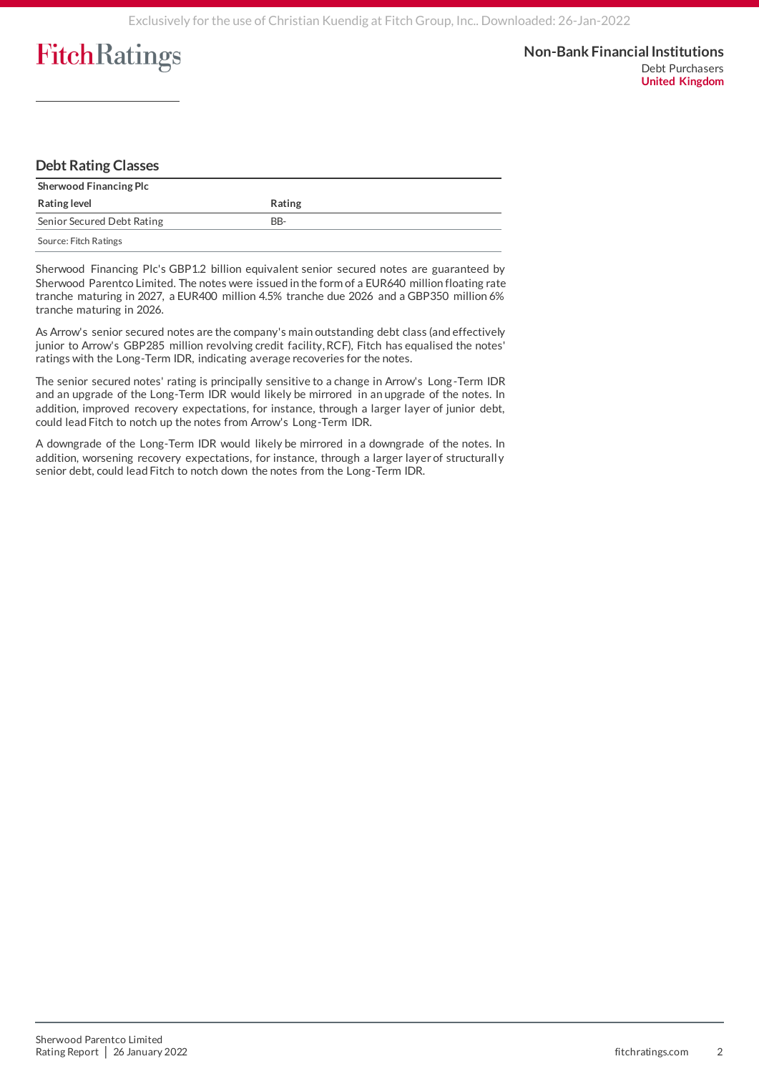### **Debt Rating Classes**

| <b>Sherwood Financing Plc</b> |        |  |  |  |  |  |
|-------------------------------|--------|--|--|--|--|--|
| <b>Rating level</b>           | Rating |  |  |  |  |  |
| Senior Secured Debt Rating    | BB-    |  |  |  |  |  |
| Source: Fitch Ratings         |        |  |  |  |  |  |

Sherwood Financing Plc's GBP1.2 billion equivalent senior secured notes are guaranteed by Sherwood Parentco Limited. The notes were issued in the form of a EUR640 million floating rate tranche maturing in 2027, a EUR400 million 4.5% tranche due 2026 and a GBP350 million 6% tranche maturing in 2026.

As Arrow's senior secured notes are the company's main outstanding debt class (and effectively junior to Arrow's GBP285 million revolving credit facility, RCF), Fitch has equalised the notes' ratings with the Long-Term IDR, indicating average recoveries for the notes.

The senior secured notes' rating is principally sensitive to a change in Arrow's Long -Term IDR and an upgrade of the Long-Term IDR would likely be mirrored in an upgrade of the notes. In addition, improved recovery expectations, for instance, through a larger layer of junior debt, could lead Fitch to notch up the notes from Arrow's Long-Term IDR.

A downgrade of the Long-Term IDR would likely be mirrored in a downgrade of the notes. In addition, worsening recovery expectations, for instance, through a larger layer of structurally senior debt, could lead Fitch to notch down the notes from the Long-Term IDR.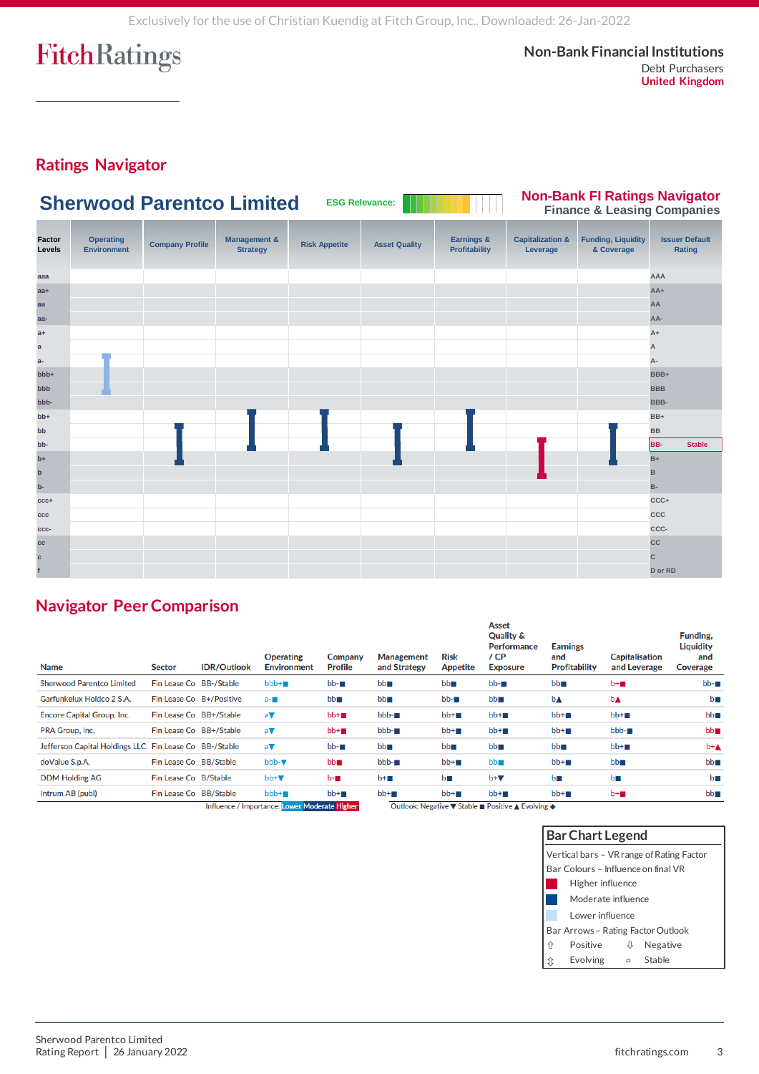**Non-Bank Financial Institutions** Debt Purchasers **United Kingdom**

## **Ratings Navigator**



### **Navigator Peer Comparison**

| <b>Name</b>                                            | <b>Sector</b>           | <b>IDR/Outlook</b>       | <b>Operating</b><br><b>Environment</b>                                        | Company<br><b>Profile</b> | <b>Management</b><br>and Strategy | <b>Risk</b><br><b>Appetite</b> | <b>Asset</b><br><b>Quality &amp;</b><br><b>Performance</b><br>/ CP<br><b>Exposure</b>                                                                                                                                          | <b>Earnings</b><br>and<br><b>Profitability</b> | <b>Capitalisation</b><br>and Leverage | Funding.<br><b>Liquidity</b><br>and<br><b>Coverage</b> |
|--------------------------------------------------------|-------------------------|--------------------------|-------------------------------------------------------------------------------|---------------------------|-----------------------------------|--------------------------------|--------------------------------------------------------------------------------------------------------------------------------------------------------------------------------------------------------------------------------|------------------------------------------------|---------------------------------------|--------------------------------------------------------|
| <b>Sherwood Parentco Limited</b>                       | Fin Lease Co BB-/Stable |                          | $bbb+$                                                                        | bb-∎                      | bb                                | bb                             | $bb - m$                                                                                                                                                                                                                       | $bb^-$                                         | $b + m$                               | $bb - m$                                               |
| Garfunkelux Holdco 2 S.A.                              |                         | Fin Lease Co B+/Positive | $a - m$                                                                       | $bb^-$                    | $bb^-$                            | $bb - m$                       | $bb^-$                                                                                                                                                                                                                         | b▲                                             | <b>b</b> <sup></sup>                  | bП                                                     |
| <b>Encore Capital Group, Inc.</b>                      |                         | Fin Lease Co BB+/Stable  | $a \nabla$                                                                    | $bb+m$                    | $bbb - m$                         | $bb+m$                         | $bb + m$                                                                                                                                                                                                                       | $bb+m$                                         | $bb+m$                                | bb                                                     |
| PRA Group, Inc.                                        |                         | Fin Lease Co BB+/Stable  | av                                                                            | $bb+m$                    | $bbb-$                            | $bb+m$                         | $bb+m$                                                                                                                                                                                                                         | $bb +$                                         | $bbb-$                                | $bb^-$                                                 |
| Jefferson Capital Holdings LLC Fin Lease Co BB-/Stable |                         |                          | a▼                                                                            | $bb - m$                  | bb                                | $bb^-$                         | bb                                                                                                                                                                                                                             | $bb^-$                                         | $bb+m$                                | $b + A$                                                |
| doValue S.p.A.                                         | Fin Lease Co BB/Stable  |                          | $bbb-\nabla$                                                                  | $bb^-$                    | $bbb -$                           | $bb+m$                         | $bb^-$                                                                                                                                                                                                                         | $bb+m$                                         | $bb^-$                                | bb                                                     |
| <b>DDM Holding AG</b>                                  | Fin Lease Co B/Stable   |                          | $bb+$                                                                         | $b - m$                   | $b + m$                           | b                              | $b + \nabla$                                                                                                                                                                                                                   | bп                                             | b                                     | bП                                                     |
| Intrum AB (publ)                                       | Fin Lease Co BB/Stable  |                          | $bbb+$                                                                        | $bb+m$                    | $bb + m$                          | $bb+m$                         | $bb+m$                                                                                                                                                                                                                         | $bb+m$                                         | $b + m$                               | bb                                                     |
|                                                        |                         |                          | <b>Left and Charles Community and Charles Community and Charles Community</b> |                           |                                   |                                | consideration to a series of the constant of the constant of the constant of the constant of the constant of the constant of the constant of the constant of the constant of the constant of the constant of the constant of t |                                                |                                       |                                                        |

Influence / Importance: Lower Moderate Higher

Outlook: Negative ▼ Stable ■ Positive ▲ Evolving ◆

| <b>Bar Chart Legend</b> |                                           |   |          |  |  |  |
|-------------------------|-------------------------------------------|---|----------|--|--|--|
|                         | Vertical bars - VR range of Rating Factor |   |          |  |  |  |
|                         | Bar Colours – Influence on final VR       |   |          |  |  |  |
|                         | Higher influence                          |   |          |  |  |  |
|                         | Moderate influence                        |   |          |  |  |  |
|                         | Lower influence                           |   |          |  |  |  |
|                         | Bar Arrows – Rating Factor Outlook        |   |          |  |  |  |
| ⇧                       | Positive                                  | ⇩ | Negative |  |  |  |
| íτ                      | Evolving                                  | Ξ | Stable   |  |  |  |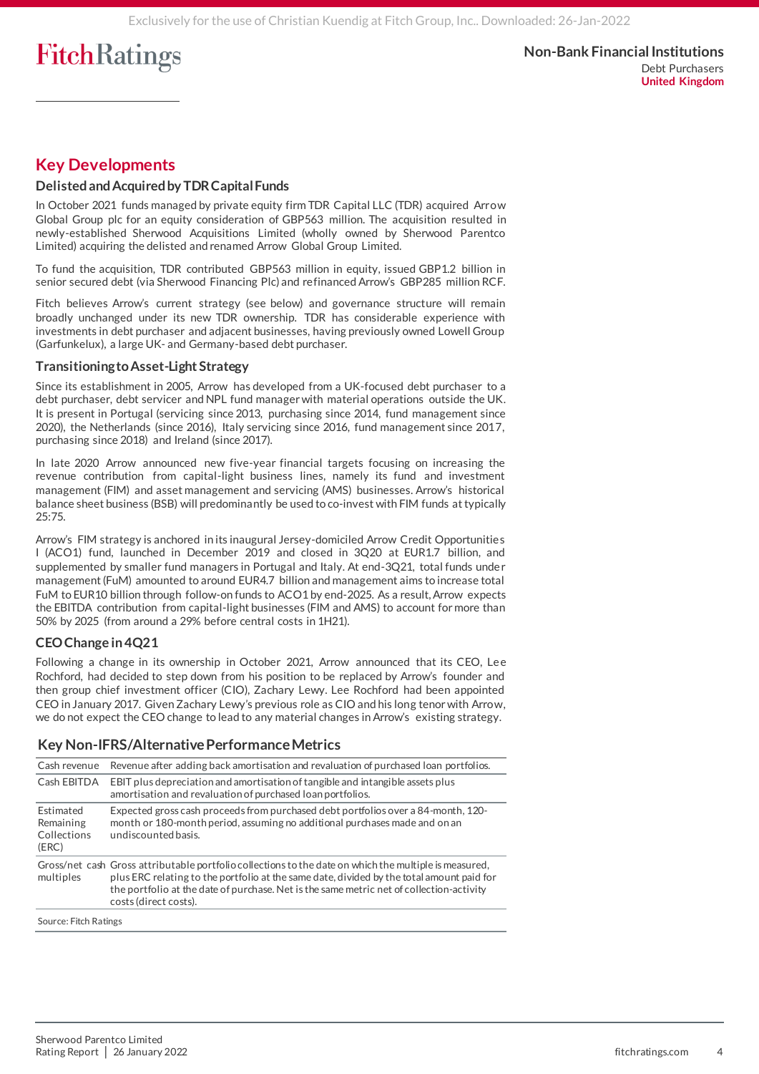### **Key Developments**

### **Delisted and Acquired by TDR Capital Funds**

In October 2021 funds managed by private equity firm TDR Capital LLC (TDR) acquired Arrow Global Group plc for an equity consideration of GBP563 million. The acquisition resulted in newly-established Sherwood Acquisitions Limited (wholly owned by Sherwood Parentco Limited) acquiring the delisted and renamed Arrow Global Group Limited.

To fund the acquisition, TDR contributed GBP563 million in equity, issued GBP1.2 billion in senior secured debt (via Sherwood Financing Plc) and refinanced Arrow's GBP285 million RCF.

Fitch believes Arrow's current strategy (see below) and governance structure will remain broadly unchanged under its new TDR ownership. TDR has considerable experience with investments in debt purchaser and adjacent businesses, having previously owned Lowell Group (Garfunkelux), a large UK- and Germany-based debt purchaser.

#### **Transitioning to Asset-Light Strategy**

Since its establishment in 2005, Arrow has developed from a UK-focused debt purchaser to a debt purchaser, debt servicer and NPL fund manager with material operations outside the UK. It is present in Portugal (servicing since 2013, purchasing since 2014, fund management since 2020), the Netherlands (since 2016), Italy servicing since 2016, fund management since 2017, purchasing since 2018) and Ireland (since 2017).

In late 2020 Arrow announced new five-year financial targets focusing on increasing the revenue contribution from capital-light business lines, namely its fund and investment management (FIM) and asset management and servicing (AMS) businesses. Arrow's historical balance sheet business (BSB) will predominantly be used to co-invest with FIM funds at typically 25:75.

Arrow's FIM strategy is anchored in its inaugural Jersey-domiciled Arrow Credit Opportunitie s I (ACO1) fund, launched in December 2019 and closed in 3Q20 at EUR1.7 billion, and supplemented by smaller fund managers in Portugal and Italy. At end-3Q21, total funds unde r management (FuM) amounted to around EUR4.7 billion and management aims to increase total FuM to EUR10 billion through follow-on funds to ACO1 by end-2025. As a result, Arrow expects the EBITDA contribution from capital-light businesses (FIM and AMS) to account for more than 50% by 2025 (from around a 29% before central costs in 1H21).

### **CEO Change in 4Q21**

Following a change in its ownership in October 2021, Arrow announced that its CEO, Lee Rochford, had decided to step down from his position to be replaced by Arrow's founder and then group chief investment officer (CIO), Zachary Lewy. Lee Rochford had been appointed CEO in January 2017. Given Zachary Lewy's previous role as CIO and his long tenor with Arrow, we do not expect the CEO change to lead to any material changes in Arrow's existing strategy.

### **Key Non-IFRS/Alternative Performance Metrics**

| Cash revenue                                          | Revenue after adding back amortisation and revaluation of purchased loan portfolios.                                                                                                                                                                                                                                     |
|-------------------------------------------------------|--------------------------------------------------------------------------------------------------------------------------------------------------------------------------------------------------------------------------------------------------------------------------------------------------------------------------|
| Cash EBITDA                                           | EBIT plus depreciation and amortisation of tangible and intangible assets plus<br>amortisation and revaluation of purchased loan portfolios.                                                                                                                                                                             |
| <b>Fstimated</b><br>Remaining<br>Collections<br>(ERC) | Expected gross cash proceeds from purchased debt portfolios over a 84-month, 120-<br>month or 180-month period, assuming no additional purchases made and on an<br>undiscounted basis.                                                                                                                                   |
| multiples                                             | Gross/net cash Gross attributable portfolio collections to the date on which the multiple is measured,<br>plus ERC relating to the portfolio at the same date, divided by the total amount paid for<br>the portfolio at the date of purchase. Net is the same metric net of collection-activity<br>costs (direct costs). |
| Source: Fitch Ratings                                 |                                                                                                                                                                                                                                                                                                                          |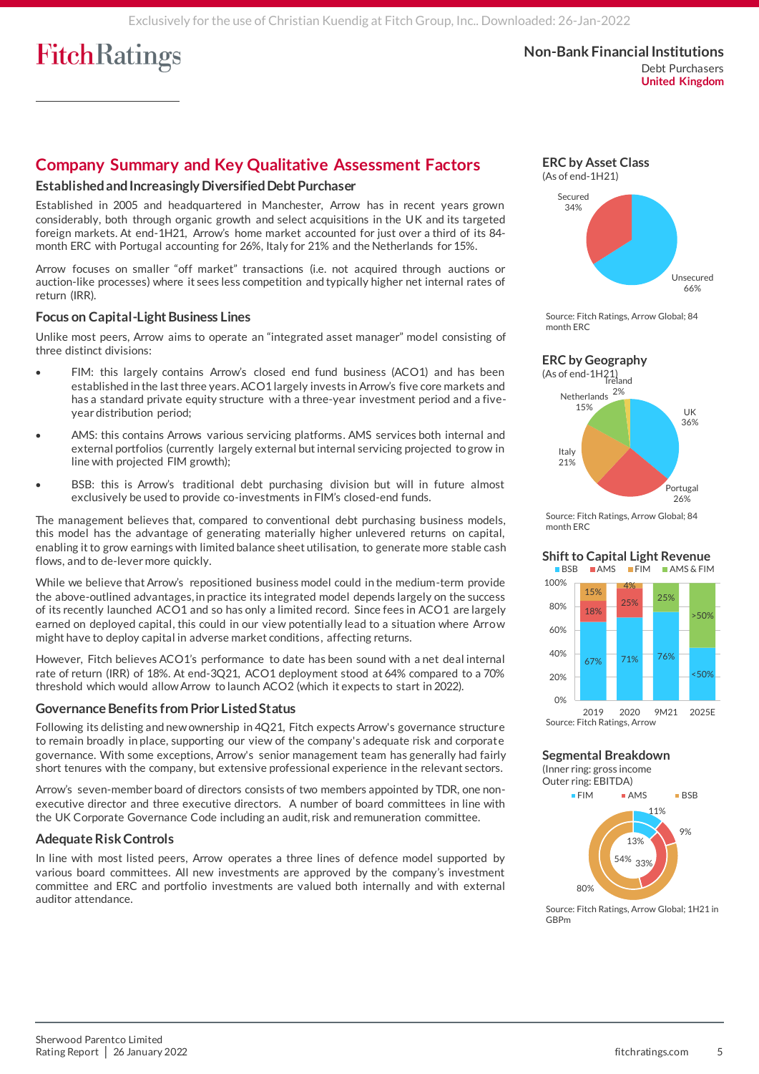### **Company Summary and Key Qualitative Assessment Factors**

#### **Established and Increasingly Diversified Debt Purchaser**

Established in 2005 and headquartered in Manchester, Arrow has in recent years grown considerably, both through organic growth and select acquisitions in the UK and its targeted foreign markets. At end-1H21, Arrow's home market accounted for just over a third of its 84 month ERC with Portugal accounting for 26%, Italy for 21% and the Netherlands for 15%.

Arrow focuses on smaller "off market" transactions (i.e. not acquired through auctions or auction-like processes) where it sees less competition and typically higher net internal rates of return (IRR).

#### **Focus on Capital-Light Business Lines**

Unlike most peers, Arrow aims to operate an "integrated asset manager" model consisting of three distinct divisions:

- FIM: this largely contains Arrow's closed end fund business (ACO1) and has been established in the last three years. ACO1 largely invests in Arrow's five core markets and has a standard private equity structure with a three-year investment period and a fiveyear distribution period;
- AMS: this contains Arrows various servicing platforms. AMS services both internal and external portfolios (currently largely external but internal servicing projected to grow in line with projected FIM growth);
- BSB: this is Arrow's traditional debt purchasing division but will in future almost exclusively be used to provide co-investments in FIM's closed-end funds.

The management believes that, compared to conventional debt purchasing business models, this model has the advantage of generating materially higher unlevered returns on capital, enabling it to grow earnings with limited balance sheet utilisation, to generate more stable cash flows, and to de-lever more quickly.

While we believe that Arrow's repositioned business model could in the medium-term provide the above-outlined advantages, in practice its integrated model depends largely on the success of its recently launched ACO1 and so has only a limited record. Since fees in ACO1 are largely earned on deployed capital, this could in our view potentially lead to a situation where Arrow might have to deploy capital in adverse market conditions, affecting returns.

However, Fitch believes ACO1's performance to date has been sound with a net deal internal rate of return (IRR) of 18%. At end-3Q21, ACO1 deployment stood at 64% compared to a 70% threshold which would allow Arrow to launch ACO2 (which it expects to start in 2022).

#### **Governance Benefits from Prior Listed Status**

Following its delisting and new ownership in 4Q21, Fitch expects Arrow's governance structure to remain broadly in place, supporting our view of the company's adequate risk and corporate governance. With some exceptions, Arrow's senior management team has generally had fairly short tenures with the company, but extensive professional experience in the relevant sectors.

Arrow's seven-member board of directors consists of two members appointed by TDR, one nonexecutive director and three executive directors. A number of board committees in line with the UK Corporate Governance Code including an audit, risk and remuneration committee.

### **Adequate Risk Controls**

In line with most listed peers, Arrow operates a three lines of defence model supported by various board committees. All new investments are approved by the company's investment committee and ERC and portfolio investments are valued both internally and with external auditor attendance.

**ERC by Asset Class**







Source: Fitch Ratings, Arrow Global; 84 month ERC

#### **Shift to Capital Light Revenue**



Source: Fitch Ratings, Arrow

**Segmental Breakdown**

(Inner ring: gross income Outer ring: EBITDA)



Source: Fitch Ratings, Arrow Global; 1H21 in GBPm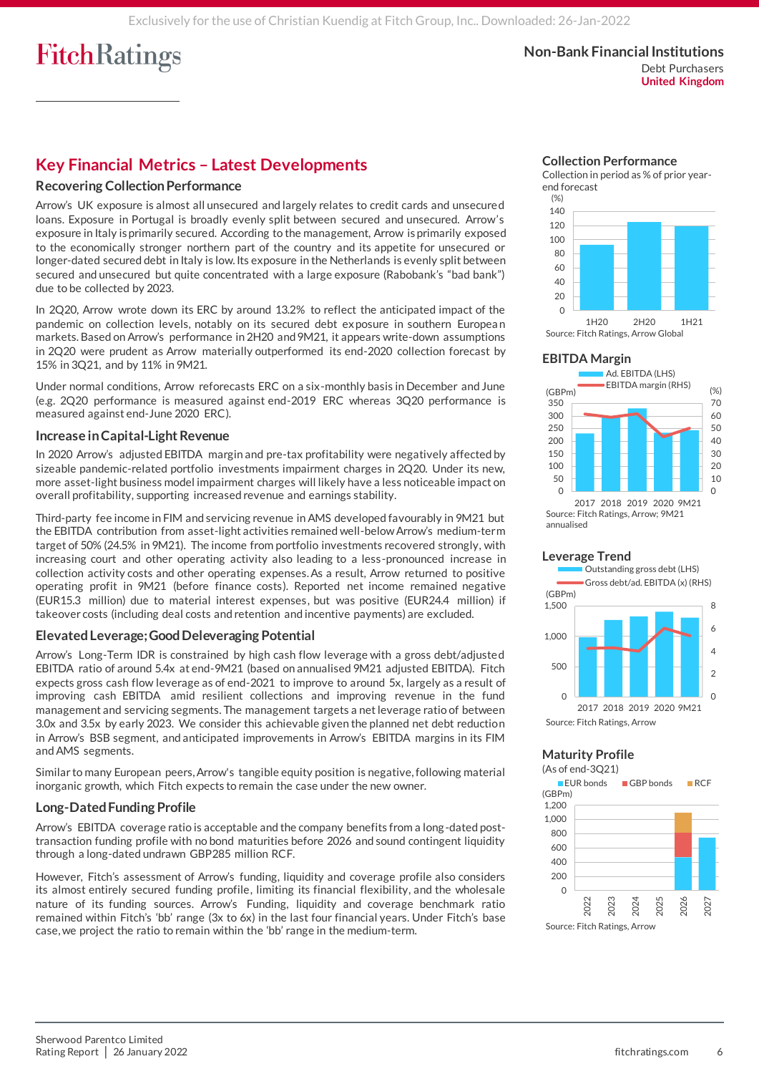**Non-Bank Financial Institutions** Debt Purchasers **United Kingdom**

### **Key Financial Metrics – Latest Developments**

#### **Recovering Collection Performance**

Arrow's UK exposure is almost all unsecured and largely relates to credit cards and unsecure d loans. Exposure in Portugal is broadly evenly split between secured and unsecured. Arrow's exposure in Italy is primarily secured. According to the management, Arrow is primarily exposed to the economically stronger northern part of the country and its appetite for unsecured or longer-dated secured debt in Italy is low. Its exposure in the Netherlands is evenly split between secured and unsecured but quite concentrated with a large exposure (Rabobank's "bad bank") due to be collected by 2023.

In 2Q20, Arrow wrote down its ERC by around 13.2% to reflect the anticipated impact of the pandemic on collection levels, notably on its secured debt exposure in southern European markets.Based on Arrow's performance in 2H20 and 9M21, it appears write-down assumptions in 2Q20 were prudent as Arrow materially outperformed its end-2020 collection forecast by 15% in 3Q21, and by 11% in 9M21.

Under normal conditions, Arrow reforecasts ERC on a six-monthly basis in December and June (e.g. 2Q20 performance is measured against end-2019 ERC whereas 3Q20 performance is measured against end-June 2020 ERC).

#### **Increase in Capital-Light Revenue**

In 2020 Arrow's adjusted EBITDA margin and pre-tax profitability were negatively affected by sizeable pandemic-related portfolio investments impairment charges in 2Q20. Under its new, more asset-light business model impairment charges will likely have a less noticeable impact on overall profitability, supporting increased revenue and earnings stability.

Third-party fee income in FIM and servicing revenue in AMS developed favourably in 9M21 but the EBITDA contribution from asset-light activities remained well-below Arrow's medium-term target of 50% (24.5% in 9M21). The income from portfolio investments recovered strongly, with increasing court and other operating activity also leading to a less-pronounced increase in collection activity costs and other operating expenses. As a result, Arrow returned to positive operating profit in 9M21 (before finance costs). Reported net income remained negative (EUR15.3 million) due to material interest expenses, but was positive (EUR24.4 million) if takeover costs (including deal costs and retention and incentive payments) are excluded.

#### **Elevated Leverage; Good Deleveraging Potential**

Arrow's Long-Term IDR is constrained by high cash flow leverage with a gross debt/adjuste d EBITDA ratio of around 5.4x at end-9M21 (based on annualised 9M21 adjusted EBITDA). Fitch expects gross cash flow leverage as of end-2021 to improve to around 5x, largely as a result of improving cash EBITDA amid resilient collections and improving revenue in the fund management and servicing segments. The management targets a net leverage ratio of between 3.0x and 3.5x by early 2023. We consider this achievable given the planned net debt reduction in Arrow's BSB segment, and anticipated improvements in Arrow's EBITDA margins in its FIM and AMS segments.

Similar to many European peers, Arrow's tangible equity position is negative, following material inorganic growth, which Fitch expects to remain the case under the new owner.

#### **Long-Dated Funding Profile**

Arrow's EBITDA coverage ratio is acceptable and the company benefits from a long-dated posttransaction funding profile with no bond maturities before 2026 and sound contingent liquidity through a long-dated undrawn GBP285 million RCF.

However, Fitch's assessment of Arrow's funding, liquidity and coverage profile also considers its almost entirely secured funding profile, limiting its financial flexibility, and the wholesale nature of its funding sources. Arrow's Funding, liquidity and coverage benchmark ratio remained within Fitch's 'bb' range (3x to 6x) in the last four financial years. Under Fitch's base case, we project the ratio to remain within the 'bb' range in the medium-term.



Collection in period as % of prior yearend forecast







2017 2018 2019 2020 9M21 Source: Fitch Ratings, Arrow; 9M21 annualised





#### **Maturity Profile** (As of end-3Q21)

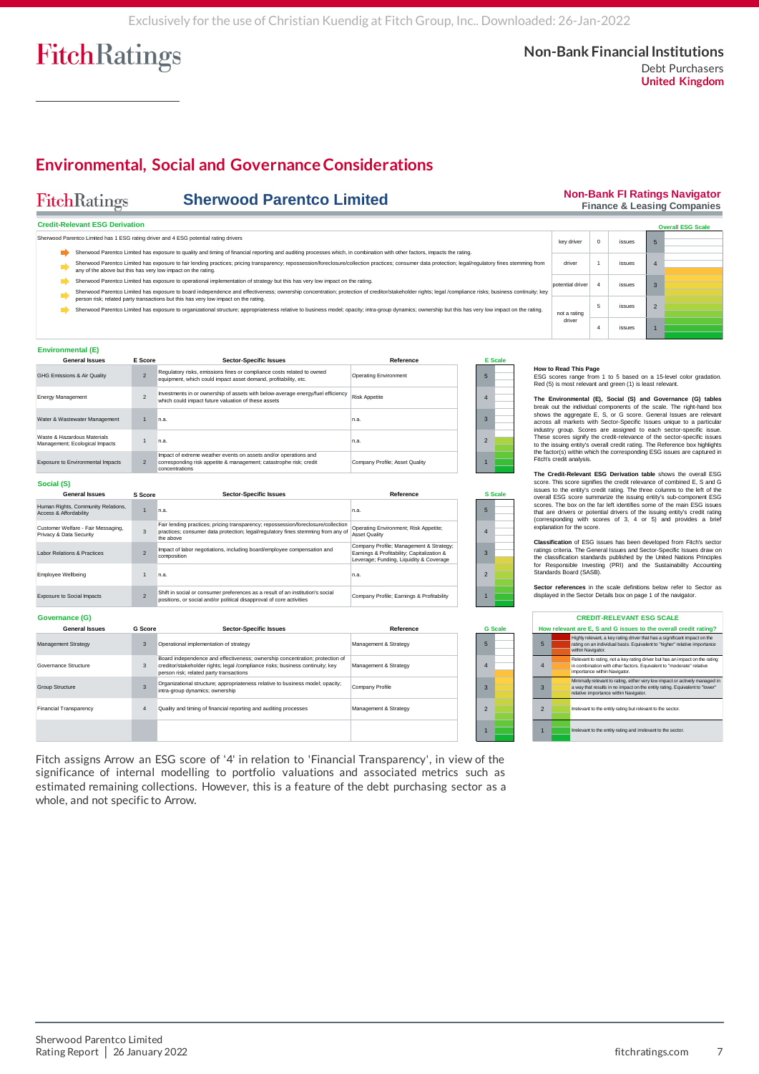**Non-Bank FI Ratings Navigator Finance & Leasing Companies**

**Overall ESG Scale**

## **Environmental, Social and Governance Considerations**

#### FitchRatings **Sherwood Parentco Limited Credit-Relevant ESG Derivation** Sherwood Parentco Limited has 1 ESG rating driver and 4 ESG potential rating drivers

|                                                                                                                                                                                                                     | J Parentco Limited has 1 ESG rating driver and 4 ESG potential rating drivers                                                                                                                                                                                                               |         |                               |           |  |                |                                                                                            | kev driver       | $\Omega$ | issues |  |  |  |
|---------------------------------------------------------------------------------------------------------------------------------------------------------------------------------------------------------------------|---------------------------------------------------------------------------------------------------------------------------------------------------------------------------------------------------------------------------------------------------------------------------------------------|---------|-------------------------------|-----------|--|----------------|--------------------------------------------------------------------------------------------|------------------|----------|--------|--|--|--|
|                                                                                                                                                                                                                     | Sherwood Parentco Limited has exposure to quality and timing of financial reporting and auditing processes which, in combination with other factors, impacts the rating.                                                                                                                    |         |                               |           |  |                |                                                                                            |                  |          |        |  |  |  |
|                                                                                                                                                                                                                     | Sherwood Parentco Limited has exposure to fair lending practices; pricing transparency; repossession/foreclosure/collection practices; consumer data protection; legal/requlatory fines stemming from<br>any of the above but this has very low impact on the rating.                       |         |                               |           |  |                |                                                                                            |                  |          | issues |  |  |  |
| Sherwood Parentco Limited has exposure to operational implementation of strategy but this has very low impact on the rating.                                                                                        |                                                                                                                                                                                                                                                                                             |         |                               |           |  |                |                                                                                            | potential driver |          | issues |  |  |  |
|                                                                                                                                                                                                                     | Sherwood Parentco Limited has exposure to board independence and effectiveness; ownership concentration; protection of creditor/stakeholder rights; legal /compliance risks; business continuity; key                                                                                       |         |                               |           |  |                |                                                                                            |                  |          |        |  |  |  |
|                                                                                                                                                                                                                     | person risk; related party transactions but this has very low impact on the rating.<br>Sherwood Parentco Limited has exposure to organizational structure; appropriateness relative to business model; opacity; intra-group dynamics; ownership but this has very low impact on the rating. |         |                               |           |  |                |                                                                                            | not a rating     | 5        | issues |  |  |  |
|                                                                                                                                                                                                                     |                                                                                                                                                                                                                                                                                             |         |                               |           |  |                |                                                                                            | driver           |          | issues |  |  |  |
|                                                                                                                                                                                                                     | nmental (E)                                                                                                                                                                                                                                                                                 |         |                               |           |  |                |                                                                                            |                  |          |        |  |  |  |
|                                                                                                                                                                                                                     | <b>General Issues</b>                                                                                                                                                                                                                                                                       | E Score | <b>Sector-Specific Issues</b> | Reference |  | <b>E</b> Scale |                                                                                            |                  |          |        |  |  |  |
| Regulatory risks, emissions fines or compliance costs related to owned<br>$\overline{2}$<br><b>Operating Environment</b><br>ssions & Air Quality<br>equipment, which could impact asset demand, profitability, etc. |                                                                                                                                                                                                                                                                                             |         |                               |           |  |                | How to Read This Page<br>ESG scores range from 1 to 5 based on a 15-level color gradation. |                  |          |        |  |  |  |
| Red (5) is most relevant and green (1) is least relevant.<br>Investments in or ownership of assets with below-average energy/fuel efficiency<br>Dieta Announce<br>$\sim$<br>---------                               |                                                                                                                                                                                                                                                                                             |         |                               |           |  |                |                                                                                            |                  |          |        |  |  |  |

Operating Environment; Risk Appetite; Asset Quality

Company Profile; Management & Strategy; Earnings & Profitability; Capitalization & Leverage; Funding, Liquidity & Coverage

#### **Environmental (E)**

| <b>General Issues</b>                                         | E Score                  | <b>Sector-Specific Issues</b>                                                                                                                            | Reference                      |   | <b>E</b> Scale |
|---------------------------------------------------------------|--------------------------|----------------------------------------------------------------------------------------------------------------------------------------------------------|--------------------------------|---|----------------|
| GHG Emissions & Air Quality                                   | $\overline{2}$           | Regulatory risks, emissions fines or compliance costs related to owned<br>equipment, which could impact asset demand, profitability, etc.                | <b>Operating Environment</b>   | 5 |                |
| <b>Energy Management</b>                                      | $\overline{\phantom{a}}$ | Investments in or ownership of assets with below-average energy/fuel efficiency<br>which could impact future valuation of these assets                   | <b>Risk Appetite</b>           |   |                |
| Water & Wastewater Management                                 |                          | n.a.                                                                                                                                                     | n.a.                           |   |                |
| Waste & Hazardous Materials<br>Management; Ecological Impacts |                          | n.a.                                                                                                                                                     | n.a.                           | 2 |                |
| Exposure to Environmental Impacts                             | $\mathcal{P}$            | Impact of extreme weather events on assets and/or operations and<br>corresponding risk appetite & management; catastrophe risk; credit<br>concentrations | Company Profile: Asset Quality |   |                |

n.a. n.a. Fair lending practices; pricing transparency; repossession/foreclosure/collection practices; consumer data protection; legal/regulatory fines stemming from any of the above

n.a. n.a.

Impact of labor negotiations, including board/employee compensation and composition

**Sector-Specific Issues Reference**

Shift in social or consumer preferences as a result of an institution's social Company Profile; Earnings & Profitability<br>positions, or social and/or political disapproval of core activities

|   | <b>S</b> Scale |  |
|---|----------------|--|
| 5 |                |  |
| 4 |                |  |
| 3 |                |  |

1

2

#### **How to Read This Page**

**The Environmental (E), Social (S) and Governance (G) tables** break out the individual components of the scale. The right-hand box shows the aggregate E, S, or G score. General Issues are relevant How to Read This Page<br>
ESG scores range from 1 to 5 based on a 15-level color gradation.<br>
Red (5) is most relevant and green (1) is least relevant.<br>
The Environmental (E), Social (S) and Governance (G) tables<br>
shows the ag The Environmental (E), Social (S) and Governance (G) tables<br>
ESG scores range from 1 to 5 based on a 15-level color gradation.<br>
The Environmental (E), Social (S) and Governance (G) tables<br>
break out the individual componen Fitch's credit analysis. sions are aging team. The conduction and a constrain some and the entity and consider the entity of the entity of the entity of the entity of the entity of the entity of the sector-specific issues to the issuing entity's o

**The Credit-Relevant ESG Derivation table** shows the overall ESG score. This score signifies the credit relevance of combined E, S and G overall ESG score summarize the issuing entity's sub-component ESG subsets<br>scores. The box on the far left identifies some of the main ESG issues<br>that are drivers or potential drivers of the issuing entity's credit rating

**Classification** of ESG issues has been developed from Fitch's sector ratings criteria. The General Issues and Sector-Specific Issues draw on<br>the classification standards published by the United Nations Principles<br>for Responsible Investing (PRI) and the Sustainability Accounting<br>Standards Bo If the university of potential university of the issuely entury steps an inference corresponding with scores of 3, 4 or 5) and provides a brief explanation for the score.<br> **Classification** of ESG issues has been developed

displayed in the Sector Details box on page 1 of the navigator.

|                          | <b>CREDIT-RELEVANT ESG SCALE</b>                                 |                                                                                                                                                                                                     |  |  |  |  |
|--------------------------|------------------------------------------------------------------|-----------------------------------------------------------------------------------------------------------------------------------------------------------------------------------------------------|--|--|--|--|
|                          | How relevant are E. S and G issues to the overall credit rating? |                                                                                                                                                                                                     |  |  |  |  |
| 5                        |                                                                  | Highly relevant, a key rating driver that has a significant impact on the<br>rating on an individual basis. Equivalent to "higher" relative importance<br>within Navigator.                         |  |  |  |  |
| $\overline{4}$           |                                                                  | Relevant to rating, not a key rating driver but has an impact on the rating<br>in combination with other factors. Equivalent to "moderate" relative<br>importance within Navigator.                 |  |  |  |  |
| $\overline{3}$           |                                                                  | Minimally relevant to rating, either very low impact or actively managed in<br>a way that results in no impact on the entity rating. Equivalent to "lower"<br>relative importance within Navigator. |  |  |  |  |
| $\overline{\phantom{0}}$ |                                                                  | Irrelevant to the entity rating but relevant to the sector.                                                                                                                                         |  |  |  |  |
| п                        |                                                                  | Irrelevant to the entity rating and irrelevant to the sector.                                                                                                                                       |  |  |  |  |

#### **Governance (G)** Exposure to Social Impacts

Labor Relations & Practices Employee Wellbeing

**Social (S)**

**General Issues** Human Rights, Community Relations, Access & Affordability

Customer Welfare - Fair Messaging, Privacy & Data Security

**S Score**

| <b>General Issues</b>         | G Score | <b>Sector-Specific Issues</b>                                                                                                                                                                             | Reference             | <b>G</b> Scale |  |
|-------------------------------|---------|-----------------------------------------------------------------------------------------------------------------------------------------------------------------------------------------------------------|-----------------------|----------------|--|
| <b>Management Strategy</b>    | 3       | Operational implementation of strategy                                                                                                                                                                    | Management & Strategy | 5              |  |
| Governance Structure          | 3       | Board independence and effectiveness; ownership concentration; protection of<br>creditor/stakeholder rights; legal /compliance risks; business continuity; key<br>person risk; related party transactions | Management & Strategy |                |  |
| <b>Group Structure</b>        | 3       | Organizational structure; appropriateness relative to business model; opacity;<br>intra-group dynamics; ownership                                                                                         | Company Profile       | 3              |  |
| <b>Financial Transparency</b> | 4       | Quality and timing of financial reporting and auditing processes                                                                                                                                          | Management & Strategy |                |  |
|                               |         |                                                                                                                                                                                                           |                       |                |  |

Fitch assigns Arrow an ESG score of '4' in relation to 'Financial Transparency', in view of the significance of internal modelling to portfolio valuations and associated metrics such as estimated remaining collections. However, this is a feature of the debt purchasing sector as a whole, and not specific to Arrow.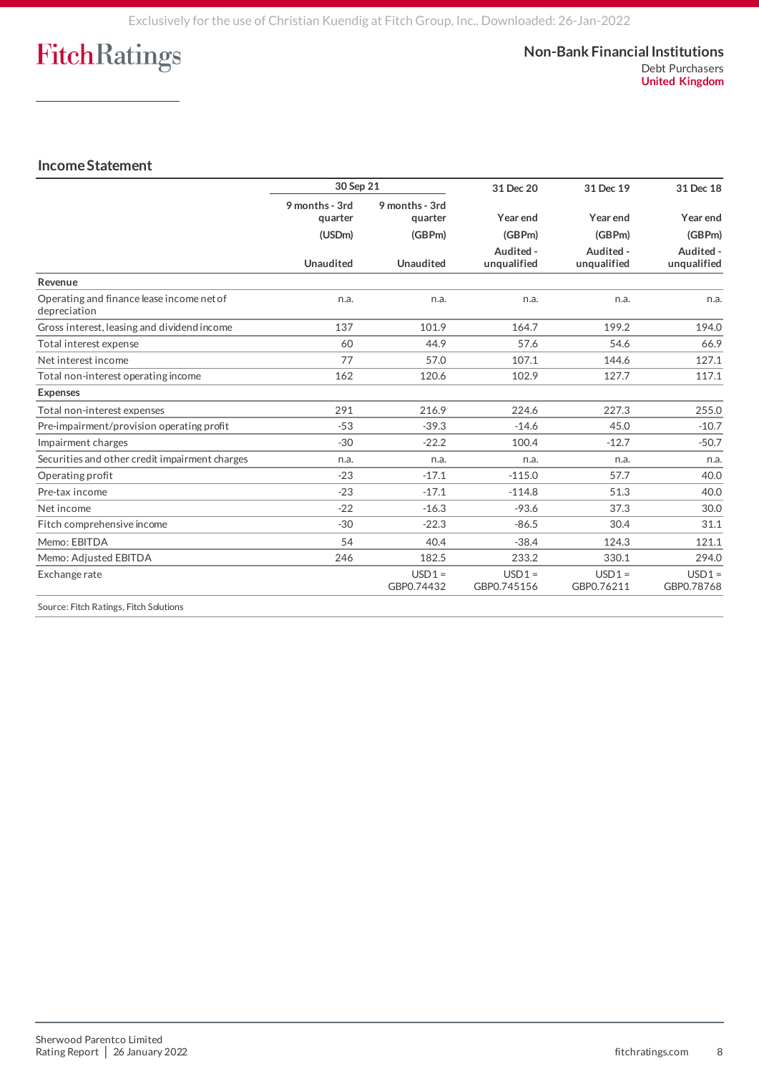#### **Non-Bank Financial Institutions** Debt Purchasers **United Kingdom**

### **Income Statement**

|                                                           | 30 Sep 21                 |                                     | 31 Dec 20               | 31 Dec 19              | 31 Dec 18              |
|-----------------------------------------------------------|---------------------------|-------------------------------------|-------------------------|------------------------|------------------------|
|                                                           | 9 months - 3rd<br>quarter | 9 months - 3rd<br>quarter<br>(GBPm) | Year end<br>(GBPm)      | Year end<br>(GBPm)     | Year end<br>(GBPm)     |
|                                                           | (USDm)                    |                                     |                         |                        |                        |
|                                                           |                           |                                     | Audited -               | Audited -              | Audited -              |
|                                                           | <b>Unaudited</b>          | <b>Unaudited</b>                    | unqualified             | unqualified            | unqualified            |
| Revenue                                                   |                           |                                     |                         |                        |                        |
| Operating and finance lease income net of<br>depreciation | n.a.                      | n.a.                                | n.a.                    | n.a.                   | n.a.                   |
| Gross interest, leasing and dividend income               | 137                       | 101.9                               | 164.7                   | 199.2                  | 194.0                  |
| Total interest expense                                    | 60                        | 44.9                                | 57.6                    | 54.6                   | 66.9                   |
| Net interest income                                       | 77                        | 57.0                                | 107.1                   | 144.6                  | 127.1                  |
| Total non-interest operating income                       | 162                       | 120.6                               | 102.9                   | 127.7                  | 117.1                  |
| <b>Expenses</b>                                           |                           |                                     |                         |                        |                        |
| Total non-interest expenses                               | 291                       | 216.9                               | 224.6                   | 227.3                  | 255.0                  |
| Pre-impairment/provision operating profit                 | $-53$                     | $-39.3$                             | $-14.6$                 | 45.0                   | $-10.7$                |
| Impairment charges                                        | $-30$                     | $-22.2$                             | 100.4                   | $-12.7$                | $-50.7$                |
| Securities and other credit impairment charges            | n.a.                      | n.a.                                | n.a.                    | n.a.                   | n.a.                   |
| Operating profit                                          | $-23$                     | $-17.1$                             | $-115.0$                | 57.7                   | 40.0                   |
| Pre-tax income                                            | $-23$                     | $-17.1$                             | $-114.8$                | 51.3                   | 40.0                   |
| Net income                                                | $-22$                     | $-16.3$                             | $-93.6$                 | 37.3                   | 30.0                   |
| Fitch comprehensive income                                | $-30$                     | $-22.3$                             | $-86.5$                 | 30.4                   | 31.1                   |
| Memo: EBITDA                                              | 54                        | 40.4                                | $-38.4$                 | 124.3                  | 121.1                  |
| Memo: Adiusted EBITDA                                     | 246                       | 182.5                               | 233.2                   | 330.1                  | 294.0                  |
| Exchange rate                                             |                           | $USD1 =$<br>GBP0.74432              | $USD1 =$<br>GBP0.745156 | $USD1 =$<br>GBP0.76211 | $USD1 =$<br>GBP0.78768 |

Source: Fitch Ratings, Fitch Solutions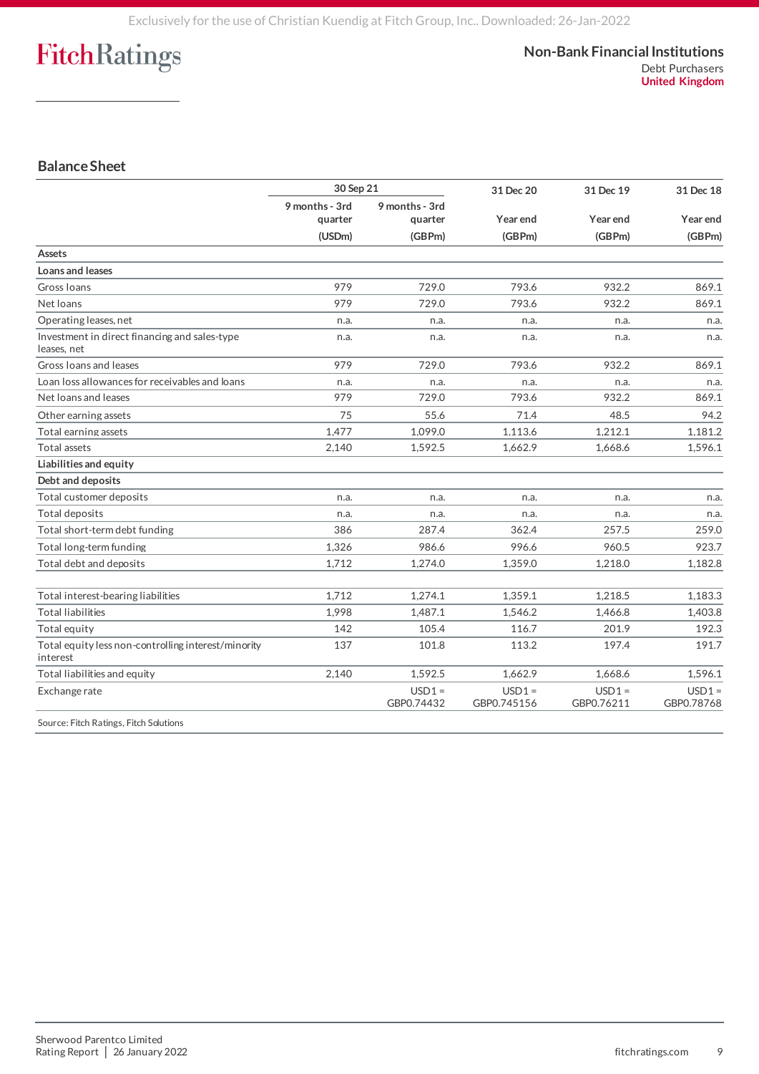### **Balance Sheet**

|                                                                 | 30 Sep 21                 |                           | 31 Dec 20               | 31 Dec 19              | 31 Dec 18              |
|-----------------------------------------------------------------|---------------------------|---------------------------|-------------------------|------------------------|------------------------|
|                                                                 | 9 months - 3rd<br>quarter | 9 months - 3rd<br>quarter | Year end                | Year end<br>(GBPm)     | Year end<br>(GBPm)     |
|                                                                 | (USDm)                    | (GBPm)                    | (GBPm)                  |                        |                        |
| Assets                                                          |                           |                           |                         |                        |                        |
| Loans and leases                                                |                           |                           |                         |                        |                        |
| Gross Ioans                                                     | 979                       | 729.0                     | 793.6                   | 932.2                  | 869.1                  |
| Net loans                                                       | 979                       | 729.0                     | 793.6                   | 932.2                  | 869.1                  |
| Operating leases, net                                           | n.a.                      | n.a.                      | n.a.                    | n.a.                   | n.a.                   |
| Investment in direct financing and sales-type<br>leases, net    | n.a.                      | n.a.                      | n.a.                    | n.a.                   | n.a.                   |
| Gross Ioans and leases                                          | 979                       | 729.0                     | 793.6                   | 932.2                  | 869.1                  |
| Loan loss allowances for receivables and loans                  | n.a.                      | n.a.                      | n.a.                    | n.a.                   | n.a.                   |
| Net loans and leases                                            | 979                       | 729.0                     | 793.6                   | 932.2                  | 869.1                  |
| Other earning assets                                            | 75                        | 55.6                      | 71.4                    | 48.5                   | 94.2                   |
| Total earning assets                                            | 1,477                     | 1,099.0                   | 1,113.6                 | 1,212.1                | 1,181.2                |
| Total assets                                                    | 2,140                     | 1,592.5                   | 1,662.9                 | 1,668.6                | 1,596.1                |
| Liabilities and equity                                          |                           |                           |                         |                        |                        |
| Debt and deposits                                               |                           |                           |                         |                        |                        |
| Total customer deposits                                         | n.a.                      | n.a.                      | n.a.                    | n.a.                   | n.a.                   |
| Total deposits                                                  | n.a.                      | n.a.                      | n.a.                    | n.a.                   | n.a.                   |
| Total short-term debt funding                                   | 386                       | 287.4                     | 362.4                   | 257.5                  | 259.0                  |
| Total long-term funding                                         | 1,326                     | 986.6                     | 996.6                   | 960.5                  | 923.7                  |
| Total debt and deposits                                         | 1,712                     | 1,274.0                   | 1,359.0                 | 1,218.0                | 1,182.8                |
| Total interest-bearing liabilities                              | 1,712                     | 1.274.1                   | 1,359.1                 | 1.218.5                | 1.183.3                |
| <b>Total liabilities</b>                                        | 1.998                     | 1.487.1                   | 1,546.2                 | 1.466.8                | 1,403.8                |
| Total equity                                                    | 142                       | 105.4                     | 116.7                   | 201.9                  | 192.3                  |
| Total equity less non-controlling interest/minority<br>interest | 137                       | 101.8                     | 113.2                   | 197.4                  | 191.7                  |
| Total liabilities and equity                                    | 2,140                     | 1,592.5                   | 1,662.9                 | 1,668.6                | 1,596.1                |
| Exchange rate                                                   |                           | $USD1 =$<br>GBP0.74432    | $USD1 =$<br>GBP0.745156 | $USD1 =$<br>GBP0.76211 | $USD1 =$<br>GBP0.78768 |
| Source: Fitch Ratings, Fitch Solutions                          |                           |                           |                         |                        |                        |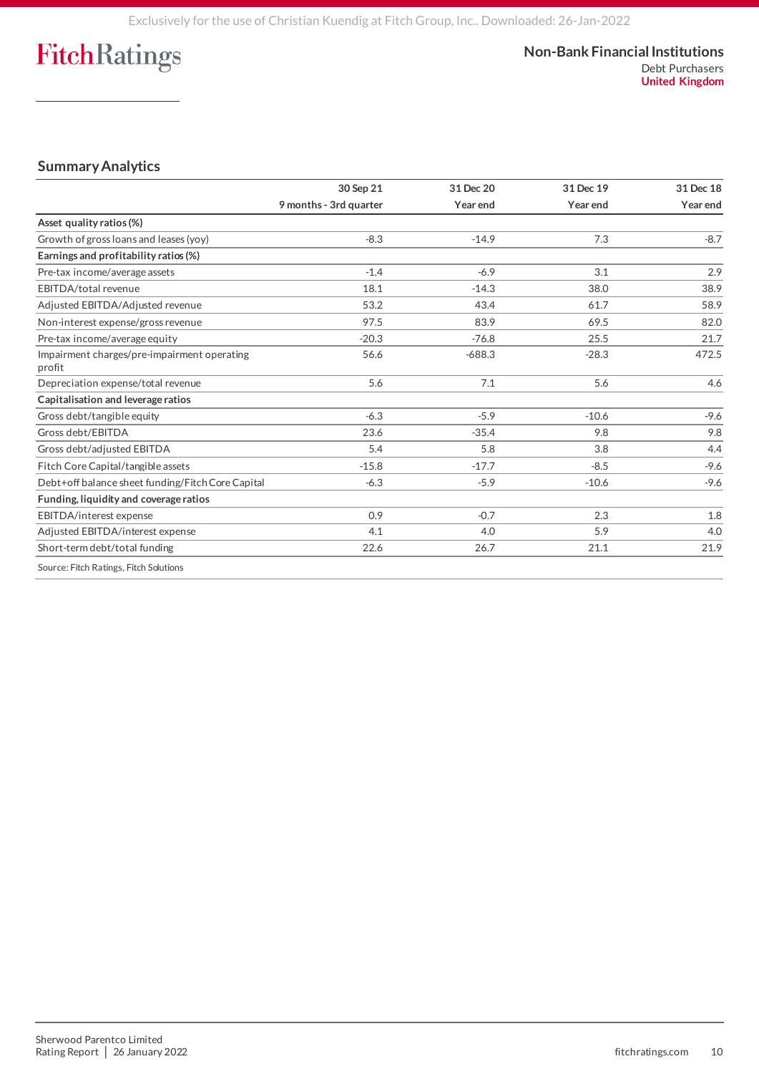#### **Non-Bank Financial Institutions** Debt Purchasers **United Kingdom**

### **Summary Analytics**

|                                                       | 30 Sep 21              | 31 Dec 20 | 31 Dec 19 | 31 Dec 18 |
|-------------------------------------------------------|------------------------|-----------|-----------|-----------|
|                                                       | 9 months - 3rd quarter | Year end  | Year end  | Year end  |
| Asset quality ratios (%)                              |                        |           |           |           |
| Growth of gross loans and leases (yoy)                | $-8.3$                 | $-14.9$   | 7.3       | $-8.7$    |
| Earnings and profitability ratios (%)                 |                        |           |           |           |
| Pre-tax income/average assets                         | $-1.4$                 | $-6.9$    | 3.1       | 2.9       |
| EBITDA/total revenue                                  | 18.1                   | $-14.3$   | 38.0      | 38.9      |
| Adjusted EBITDA/Adjusted revenue                      | 53.2                   | 43.4      | 61.7      | 58.9      |
| Non-interest expense/gross revenue                    | 97.5                   | 83.9      | 69.5      | 82.0      |
| Pre-tax income/average equity                         | $-20.3$                | $-76.8$   | 25.5      | 21.7      |
| Impairment charges/pre-impairment operating<br>profit | 56.6                   | $-688.3$  | $-28.3$   | 472.5     |
| Depreciation expense/total revenue                    | 5.6                    | 7.1       | 5.6       | 4.6       |
| Capitalisation and leverage ratios                    |                        |           |           |           |
| Gross debt/tangible equity                            | $-6.3$                 | $-5.9$    | $-10.6$   | $-9.6$    |
| Gross debt/EBITDA                                     | 23.6                   | $-35.4$   | 9.8       | 9.8       |
| Gross debt/adjusted EBITDA                            | 5.4                    | 5.8       | 3.8       | 4.4       |
| Fitch Core Capital/tangible assets                    | $-15.8$                | $-17.7$   | $-8.5$    | $-9.6$    |
| Debt+off balance sheet funding/Fitch Core Capital     | $-6.3$                 | $-5.9$    | $-10.6$   | $-9.6$    |
| Funding, liquidity and coverage ratios                |                        |           |           |           |
| EBITDA/interest expense                               | 0.9                    | $-0.7$    | 2.3       | 1.8       |
| Adjusted EBITDA/interest expense                      | 4.1                    | 4.0       | 5.9       | 4.0       |
| Short-term debt/total funding                         | 22.6                   | 26.7      | 21.1      | 21.9      |
| Source: Fitch Ratings, Fitch Solutions                |                        |           |           |           |